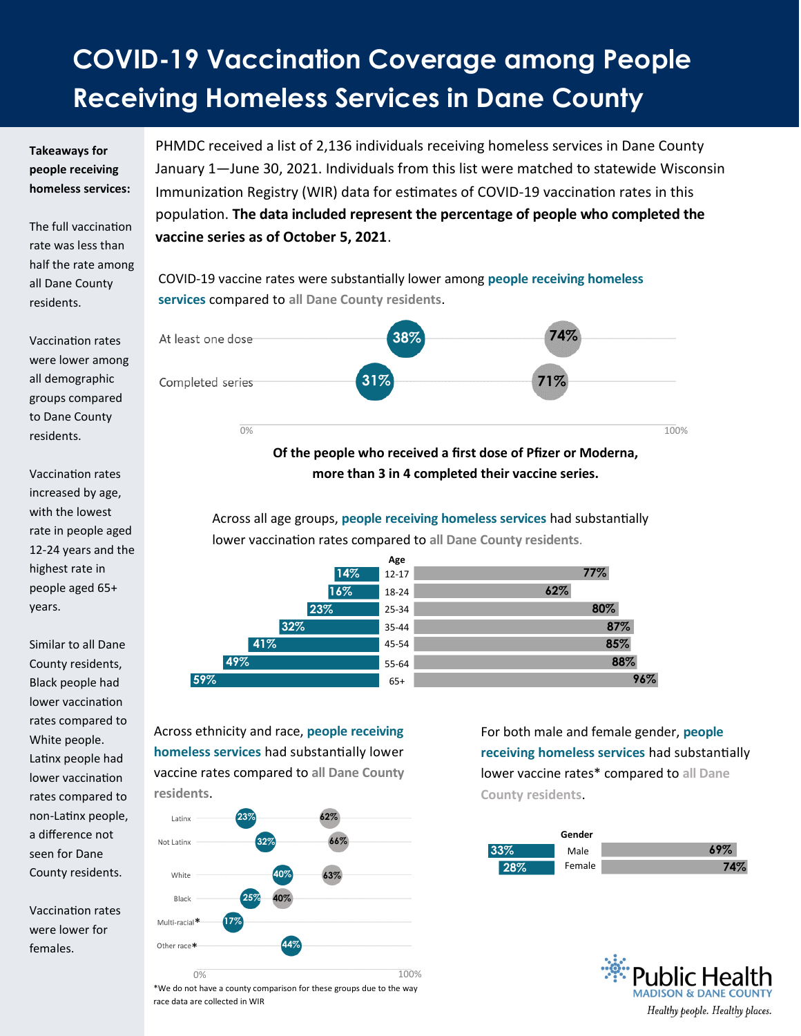## **COVID-19 Vaccination Coverage among People Receiving Homeless Services in Dane County**

## **Takeaways for people receiving homeless services:**

The full vaccination rate was less than half the rate among all Dane County residents.

Vaccination rates were lower among all demographic groups compared to Dane County residents.

Vaccination rates increased by age, with the lowest rate in people aged 12-24 years and the highest rate in people aged 65+ years.

Similar to all Dane County residents, Black people had lower vaccination rates compared to White people. Latinx people had lower vaccination rates compared to non-Latinx people, a difference not seen for Dane County residents.

Vaccination rates were lower for females.

PHMDC received a list of 2,136 individuals receiving homeless services in Dane County January 1—June 30, 2021. Individuals from this list were matched to statewide Wisconsin Immunization Registry (WIR) data for estimates of COVID-19 vaccination rates in this population. **The data included represent the percentage of people who completed the vaccine series as of October 5, 2021**.

COVID-19 vaccine rates were substantially lower among **people receiving homeless services** compared to **all Dane County residents**.



**more than 3 in 4 completed their vaccine series.**

Across all age groups, **people receiving homeless services** had substantially lower vaccination rates compared to **all Dane County residents**.



Across ethnicity and race, **people receiving homeless services** had substantially lower vaccine rates compared to **all Dane County residents**.



\*We do not have a county comparison for these groups due to the way race data are collected in WIR

For both male and female gender, **people receiving homeless services** had substantially lower vaccine rates\* compared to **all Dane County residents**.